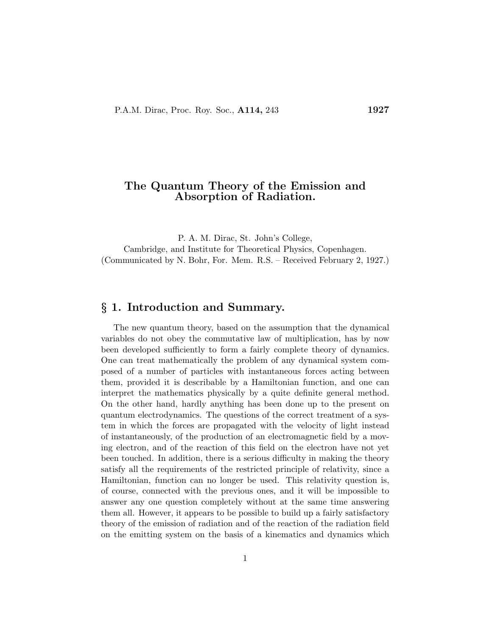#### The Quantum Theory of the Emission and Absorption of Radiation.

P. A. M. Dirac, St. John's College, Cambridge, and Institute for Theoretical Physics, Copenhagen. (Communicated by N. Bohr, For. Mem. R.S. – Received February 2, 1927.)

#### § 1. Introduction and Summary.

The new quantum theory, based on the assumption that the dynamical variables do not obey the commutative law of multiplication, has by now been developed sufficiently to form a fairly complete theory of dynamics. One can treat mathematically the problem of any dynamical system composed of a number of particles with instantaneous forces acting between them, provided it is describable by a Hamiltonian function, and one can interpret the mathematics physically by a quite definite general method. On the other hand, hardly anything has been done up to the present on quantum electrodynamics. The questions of the correct treatment of a system in which the forces are propagated with the velocity of light instead of instantaneously, of the production of an electromagnetic field by a moving electron, and of the reaction of this field on the electron have not yet been touched. In addition, there is a serious difficulty in making the theory satisfy all the requirements of the restricted principle of relativity, since a Hamiltonian, function can no longer be used. This relativity question is, of course, connected with the previous ones, and it will be impossible to answer any one question completely without at the same time answering them all. However, it appears to be possible to build up a fairly satisfactory theory of the emission of radiation and of the reaction of the radiation field on the emitting system on the basis of a kinematics and dynamics which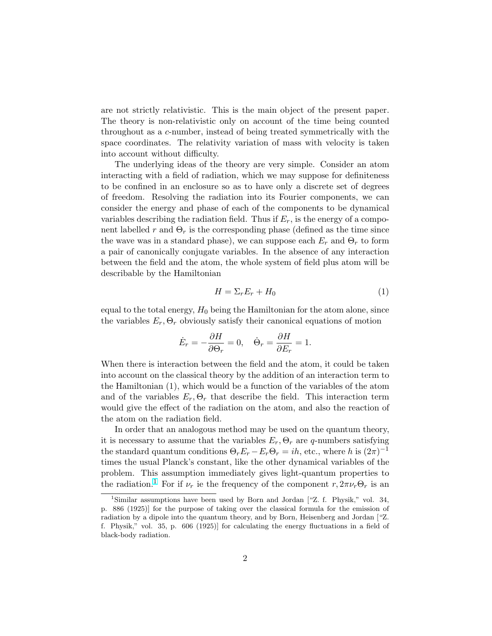are not strictly relativistic. This is the main object of the present paper. The theory is non-relativistic only on account of the time being counted throughout as a c-number, instead of being treated symmetrically with the space coordinates. The relativity variation of mass with velocity is taken into account without difficulty.

The underlying ideas of the theory are very simple. Consider an atom interacting with a field of radiation, which we may suppose for definiteness to be confined in an enclosure so as to have only a discrete set of degrees of freedom. Resolving the radiation into its Fourier components, we can consider the energy and phase of each of the components to be dynamical variables describing the radiation field. Thus if  $E_r$ , is the energy of a component labelled r and  $\Theta_r$  is the corresponding phase (defined as the time since the wave was in a standard phase), we can suppose each  $E_r$  and  $\Theta_r$  to form a pair of canonically conjugate variables. In the absence of any interaction between the field and the atom, the whole system of field plus atom will be describable by the Hamiltonian

$$
H = \Sigma_r E_r + H_0 \tag{1}
$$

equal to the total energy,  $H_0$  being the Hamiltonian for the atom alone, since the variables  $E_r$ ,  $\Theta_r$  obviously satisfy their canonical equations of motion

$$
\dot{E}_r = -\frac{\partial H}{\partial \Theta_r} = 0, \quad \dot{\Theta}_r = \frac{\partial H}{\partial E_r} = 1.
$$

When there is interaction between the field and the atom, it could be taken into account on the classical theory by the addition of an interaction term to the Hamiltonian (1), which would be a function of the variables of the atom and of the variables  $E_r$ ,  $\Theta_r$  that describe the field. This interaction term would give the effect of the radiation on the atom, and also the reaction of the atom on the radiation field.

In order that an analogous method may be used on the quantum theory, it is necessary to assume that the variables  $E_r$ ,  $\Theta_r$  are q-numbers satisfying the standard quantum conditions  $\Theta_r E_r - E_r \Theta_r = i h$ , etc., where h is  $(2\pi)^{-1}$ times the usual Planck's constant, like the other dynamical variables of the problem. This assumption immediately gives light-quantum properties to the radiation.<sup>1</sup> For if  $\nu_r$  ie the frequency of the component  $r, 2\pi\nu_r\Theta_r$  is an

<sup>&</sup>lt;sup>1</sup>Similar assumptions have been used by Born and Jordan ["Z. f. Physik," vol. 34, p. 886 (1925)] for the purpose of taking over the classical formula for the emission of radiation by a dipole into the quantum theory, and by Born, Heisenberg and Jordan ["Z. f. Physik," vol. 35, p. 606 (1925)] for calculating the energy fluctuations in a field of black-body radiation.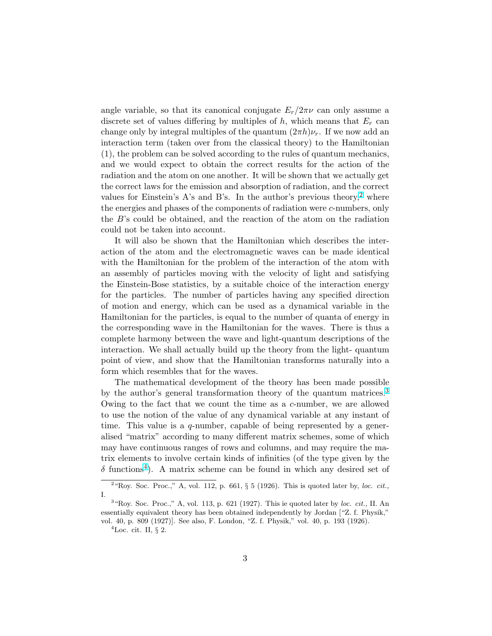angle variable, so that its canonical conjugate  $E_r/2\pi\nu$  can only assume a discrete set of values differing by multiples of  $h$ , which means that  $E_r$  can change only by integral multiples of the quantum  $(2\pi h)\nu_r$ . If we now add an interaction term (taken over from the classical theory) to the Hamiltonian (1), the problem can be solved according to the rules of quantum mechanics, and we would expect to obtain the correct results for the action of the radiation and the atom on one another. It will be shown that we actually get the correct laws for the emission and absorption of radiation, and the correct values for Einstein's A's and B's. In the author's previous theory,<sup>2</sup> where the energies and phases of the components of radiation were c-numbers, only the B's could be obtained, and the reaction of the atom on the radiation could not be taken into account.

It will also be shown that the Hamiltonian which describes the interaction of the atom and the electromagnetic waves can be made identical with the Hamiltonian for the problem of the interaction of the atom with an assembly of particles moving with the velocity of light and satisfying the Einstein-Bose statistics, by a suitable choice of the interaction energy for the particles. The number of particles having any specified direction of motion and energy, which can be used as a dynamical variable in the Hamiltonian for the particles, is equal to the number of quanta of energy in the corresponding wave in the Hamiltonian for the waves. There is thus a complete harmony between the wave and light-quantum descriptions of the interaction. We shall actually build up the theory from the light- quantum point of view, and show that the Hamiltonian transforms naturally into a form which resembles that for the waves.

The mathematical development of the theory has been made possible by the author's general transformation theory of the quantum matrices.<sup>3</sup> Owing to the fact that we count the time as a c-number, we are allowed to use the notion of the value of any dynamical variable at any instant of time. This value is a  $q$ -number, capable of being represented by a generalised "matrix" according to many different matrix schemes, some of which may have continuous ranges of rows and columns, and may require the matrix elements to involve certain kinds of infinities (of the type given by the  $\delta$  functions<sup>4</sup>). A matrix scheme can be found in which any desired set of

<sup>&</sup>lt;sup>2</sup> "Roy. Soc. Proc.," A, vol. 112, p. 661, § 5 (1926). This is quoted later by, loc. cit., I.

 $3\text{``Roy. Soc. Proc.,'' A, vol. 113, p. 621 (1927). This is quoted later by loc. cit., II. An$ essentially equivalent theory has been obtained independently by Jordan ["Z. f. Physik," vol. 40, p. 809 (1927)]. See also, F. London, "Z. f. Physik," vol. 40, p. 193 (1926).

 ${}^4$ Loc. cit. II, § 2.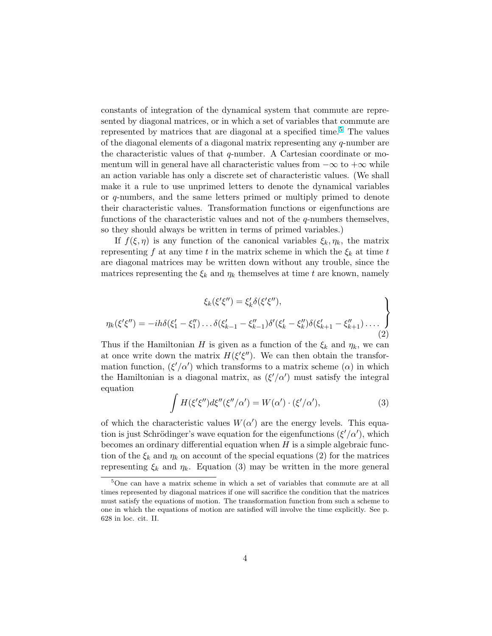constants of integration of the dynamical system that commute are represented by diagonal matrices, or in which a set of variables that commute are represented by matrices that are diagonal at a specified time.<sup>5</sup> The values of the diagonal elements of a diagonal matrix representing any q-number are the characteristic values of that  $q$ -number. A Cartesian coordinate or momentum will in general have all characteristic values from  $-\infty$  to  $+\infty$  while an action variable has only a discrete set of characteristic values. (We shall make it a rule to use unprimed letters to denote the dynamical variables or q-numbers, and the same letters primed or multiply primed to denote their characteristic values. Transformation functions or eigenfunctions are functions of the characteristic values and not of the  $q$ -numbers themselves, so they should always be written in terms of primed variables.)

If  $f(\xi, \eta)$  is any function of the canonical variables  $\xi_k, \eta_k$ , the matrix representing f at any time t in the matrix scheme in which the  $\xi_k$  at time t are diagonal matrices may be written down without any trouble, since the matrices representing the  $\xi_k$  and  $\eta_k$  themselves at time t are known, namely

$$
\xi_k(\xi'\xi'') = \xi'_k \delta(\xi'\xi''),
$$
  

$$
\eta_k(\xi'\xi'') = -ih\delta(\xi'_1 - \xi''_1) \dots \delta(\xi'_{k-1} - \xi''_{k-1})\delta'(\xi'_k - \xi''_k)\delta(\xi'_{k+1} - \xi''_{k+1})\dots \tag{2}
$$

Thus if the Hamiltonian H is given as a function of the  $\xi_k$  and  $\eta_k$ , we can at once write down the matrix  $H(\xi'\xi'')$ . We can then obtain the transformation function,  $(\xi'/\alpha')$  which transforms to a matrix scheme  $(\alpha)$  in which the Hamiltonian is a diagonal matrix, as  $(\xi'/\alpha')$  must satisfy the integral equation

$$
\int H(\xi'\xi'')d\xi''(\xi''/\alpha') = W(\alpha') \cdot (\xi'/\alpha'),\tag{3}
$$

of which the characteristic values  $W(\alpha')$  are the energy levels. This equation is just Schrödinger's wave equation for the eigenfunctions  $(\xi'/\alpha')$ , which becomes an ordinary differential equation when  $H$  is a simple algebraic function of the  $\xi_k$  and  $\eta_k$  on account of the special equations (2) for the matrices representing  $\xi_k$  and  $\eta_k$ . Equation (3) may be written in the more general

<sup>5</sup>One can have a matrix scheme in which a set of variables that commute are at all times represented by diagonal matrices if one will sacrifice the condition that the matrices must satisfy the equations of motion. The transformation function from such a scheme to one in which the equations of motion are satisfied will involve the time explicitly. See p. 628 in loc. cit. II.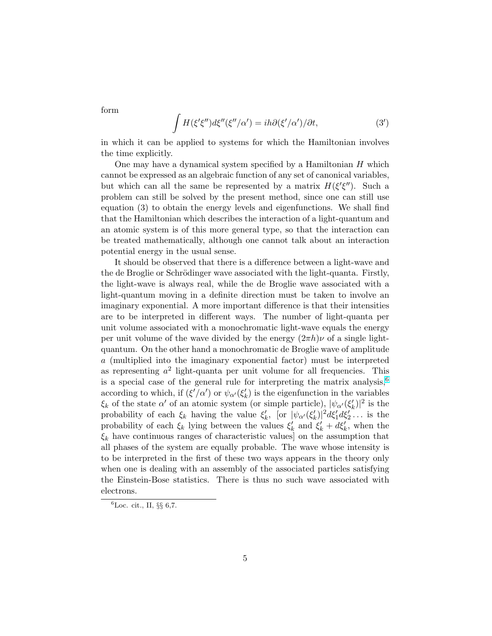form

$$
\int H(\xi'\xi'')d\xi''(\xi''/\alpha') = ih\partial(\xi'/\alpha')/\partial t,
$$
\n(3')

in which it can be applied to systems for which the Hamiltonian involves the time explicitly.

One may have a dynamical system specified by a Hamiltonian H which cannot be expressed as an algebraic function of any set of canonical variables, but which can all the same be represented by a matrix  $H(\xi'\xi'')$ . Such a problem can still be solved by the present method, since one can still use equation (3) to obtain the energy levels and eigenfunctions. We shall find that the Hamiltonian which describes the interaction of a light-quantum and an atomic system is of this more general type, so that the interaction can be treated mathematically, although one cannot talk about an interaction potential energy in the usual sense.

It should be observed that there is a difference between a light-wave and the de Broglie or Schrödinger wave associated with the light-quanta. Firstly, the light-wave is always real, while the de Broglie wave associated with a light-quantum moving in a definite direction must be taken to involve an imaginary exponential. A more important difference is that their intensities are to be interpreted in different ways. The number of light-quanta per unit volume associated with a monochromatic light-wave equals the energy per unit volume of the wave divided by the energy  $(2\pi h)\nu$  of a single lightquantum. On the other hand a monochromatic de Broglie wave of amplitude a (multiplied into the imaginary exponential factor) must be interpreted as representing  $a^2$  light-quanta per unit volume for all frequencies. This is a special case of the general rule for interpreting the matrix analysis,  $6\overline{6}$ according to which, if  $(\xi'/\alpha')$  or  $\psi_{\alpha'}(\xi'_k)$  is the eigenfunction in the variables  $\xi_k$  of the state  $\alpha'$  of an atomic system (or simple particle),  $|\psi_{\alpha'}(\xi'_k)|^2$  is the probability of each  $\xi_k$  having the value  $\xi'_k$ , [or  $|\psi_{\alpha'}(\xi'_k)|^2 d\xi'_1 d\xi'_2 \dots$  is the probability of each  $\xi_k$  lying between the values  $\xi'_k$  and  $\xi'_k + d\xi'_k$ , when the  $\xi_k$  have continuous ranges of characteristic values on the assumption that all phases of the system are equally probable. The wave whose intensity is to be interpreted in the first of these two ways appears in the theory only when one is dealing with an assembly of the associated particles satisfying the Einstein-Bose statistics. There is thus no such wave associated with electrons.

 ${}^{6}$ Loc. cit., II, §§ 6,7.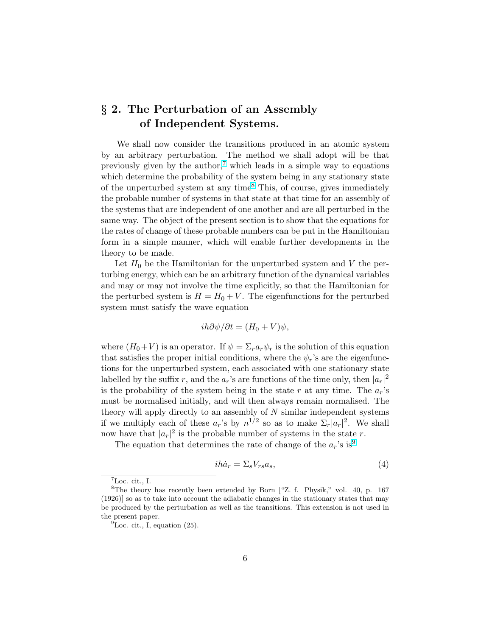# § 2. The Perturbation of an Assembly of Independent Systems.

We shall now consider the transitions produced in an atomic system by an arbitrary perturbation. The method we shall adopt will be that previously given by the author,<sup>7</sup> which leads in a simple way to equations which determine the probability of the system being in any stationary state of the unperturbed system at any time<sup>8</sup> This, of course, gives immediately the probable number of systems in that state at that time for an assembly of the systems that are independent of one another and are all perturbed in the same way. The object of the present section is to show that the equations for the rates of change of these probable numbers can be put in the Hamiltonian form in a simple manner, which will enable further developments in the theory to be made.

Let  $H_0$  be the Hamiltonian for the unperturbed system and V the perturbing energy, which can be an arbitrary function of the dynamical variables and may or may not involve the time explicitly, so that the Hamiltonian for the perturbed system is  $H = H_0 + V$ . The eigenfunctions for the perturbed system must satisfy the wave equation

$$
ih\partial\psi/\partial t = (H_0 + V)\psi,
$$

where  $(H_0+V)$  is an operator. If  $\psi = \sum_r a_r \psi_r$  is the solution of this equation that satisfies the proper initial conditions, where the  $\psi_r$ 's are the eigenfunctions for the unperturbed system, each associated with one stationary state labelled by the suffix r, and the  $a_r$ 's are functions of the time only, then  $|a_r|^2$ is the probability of the system being in the state r at any time. The  $a_r$ 's must be normalised initially, and will then always remain normalised. The theory will apply directly to an assembly of  $N$  similar independent systems if we multiply each of these  $a_r$ 's by  $n^{1/2}$  so as to make  $\Sigma_r |a_r|^2$ . We shall now have that  $|a_r|^2$  is the probable number of systems in the state r.

The equation that determines the rate of change of the  $a_r$ 's is<sup>9</sup>

$$
ih\dot{a}_r = \Sigma_s V_{rs} a_s,\tag{4}
$$

 $<sup>7</sup>$ Loc. cit., I.</sup>

<sup>&</sup>lt;sup>8</sup>The theory has recently been extended by Born ["Z. f. Physik," vol. 40, p. 167 (1926)] so as to take into account the adiabatic changes in the stationary states that may be produced by the perturbation as well as the transitions. This extension is not used in the present paper.

 ${}^{9}$ Loc. cit., I, equation (25).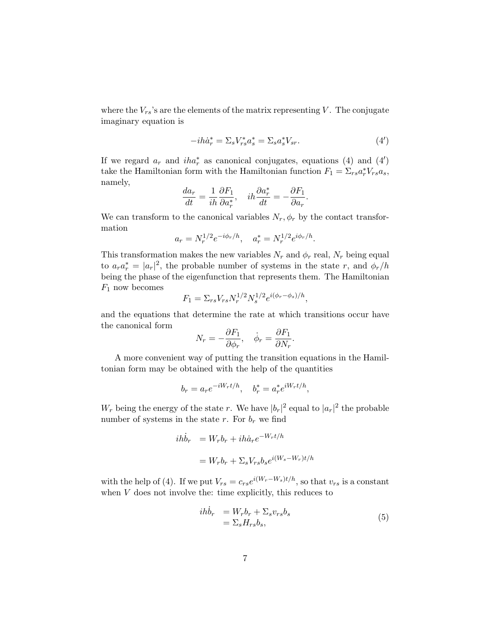where the  $V_{rs}$ 's are the elements of the matrix representing V. The conjugate imaginary equation is

$$
-i\hbar \dot{a}_r^* = \Sigma_s V_{rs}^* a_s^* = \Sigma_s a_s^* V_{sr}.
$$
\n
$$
\tag{4'}
$$

If we regard  $a_r$  and  $iha_r^*$  as canonical conjugates, equations (4) and (4') take the Hamiltonian form with the Hamiltonian function  $F_1 = \sum_{rs} a_r^* V_{rs} a_s$ , namely,

$$
\frac{da_r}{dt}=\frac{1}{ih}\frac{\partial F_1}{\partial a_r^*},\quad ih\frac{\partial a_r^*}{dt}=-\frac{\partial F_1}{\partial a_r}.
$$

We can transform to the canonical variables  $N_r$ ,  $\phi_r$  by the contact transformation

$$
a_r = N_r^{1/2} e^{-i\phi_r/h}
$$
,  $a_r^* = N_r^{1/2} e^{i\phi_r/h}$ .

This transformation makes the new variables  $N_r$  and  $\phi_r$  real,  $N_r$  being equal to  $a_r a_r^* = |a_r|^2$ , the probable number of systems in the state r, and  $\phi_r/h$ being the phase of the eigenfunction that represents them. The Hamiltonian  $F_1$  now becomes

$$
F_1 = \sum_{rs} V_{rs} N_r^{1/2} N_s^{1/2} e^{i(\phi_r - \phi_s)/h},
$$

and the equations that determine the rate at which transitions occur have the canonical form

$$
N_r = -\frac{\partial F_1}{\partial \phi_r}, \quad \dot{\phi}_r = \frac{\partial F_1}{\partial N_r}.
$$

A more convenient way of putting the transition equations in the Hamiltonian form may be obtained with the help of the quantities

$$
b_r = a_r e^{-iW_r t/h}
$$
,  $b_r^* = a_r^* e^{iW_r t/h}$ ,

 $W_r$  being the energy of the state r. We have  $|b_r|^2$  equal to  $|a_r|^2$  the probable number of systems in the state  $r$ . For  $b_r$  we find

$$
i h \dot{b}_r = W_r b_r + i h \dot{a}_r e^{-W_r t/h}
$$

$$
= W_r b_r + \Sigma_s V_{rs} b_s e^{i(W_s - W_r)t/h}
$$

with the help of (4). If we put  $V_{rs} = c_{rs}e^{i(W_r - W_s)t/\hbar}$ , so that  $v_{rs}$  is a constant when  $V$  does not involve the: time explicitly, this reduces to

$$
i h \dot{b}_r = W_r b_r + \Sigma_s v_{rs} b_s
$$
  
=  $\Sigma_s H_{rs} b_s$ , (5)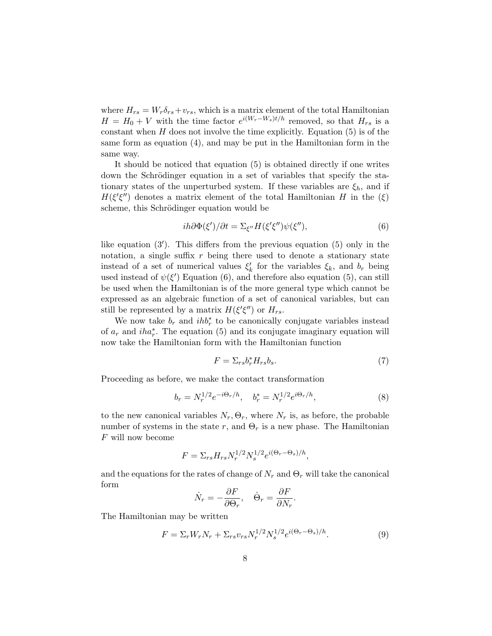where  $H_{rs} = W_r \delta_{rs} + v_{rs}$ , which is a matrix element of the total Hamiltonian  $H = H_0 + V$  with the time factor  $e^{i(W_r - W_s)t/h}$  removed, so that  $H_{rs}$  is a constant when  $H$  does not involve the time explicitly. Equation  $(5)$  is of the same form as equation (4), and may be put in the Hamiltonian form in the same way.

It should be noticed that equation (5) is obtained directly if one writes down the Schrödinger equation in a set of variables that specify the stationary states of the unperturbed system. If these variables are  $\xi_h$ , and if  $H(\xi'\xi'')$  denotes a matrix element of the total Hamiltonian H in the  $(\xi)$ scheme, this Schrödinger equation would be

$$
ih\partial\Phi(\xi')/\partial t = \Sigma_{\xi''} H(\xi'\xi'')\psi(\xi''),\tag{6}
$$

like equation  $(3')$ . This differs from the previous equation  $(5)$  only in the notation, a single suffix  $r$  being there used to denote a stationary state instead of a set of numerical values  $\xi'_{k}$  for the variables  $\xi_{k}$ , and  $b_{r}$  being used instead of  $\psi(\xi')$  Equation (6), and therefore also equation (5), can still be used when the Hamiltonian is of the more general type which cannot be expressed as an algebraic function of a set of canonical variables, but can still be represented by a matrix  $H(\xi'\xi'')$  or  $H_{rs}$ .

We now take  $b_r$  and  $ihb_r^*$  to be canonically conjugate variables instead of  $a_r$  and  $iha_r^*$ . The equation (5) and its conjugate imaginary equation will now take the Hamiltonian form with the Hamiltonian function

$$
F = \sum_{rs} b_r^* H_{rs} b_s. \tag{7}
$$

Proceeding as before, we make the contact transformation

$$
b_r = N_r^{1/2} e^{-i\Theta_r/h}, \quad b_r^* = N_r^{1/2} e^{i\Theta_r/h}, \tag{8}
$$

to the new canonical variables  $N_r, \Theta_r$ , where  $N_r$  is, as before, the probable number of systems in the state r, and  $\Theta_r$  is a new phase. The Hamiltonian F will now become

$$
F = \Sigma_{rs} H_{rs} N_r^{1/2} N_s^{1/2} e^{i(\Theta_r - \Theta_s)/h},
$$

and the equations for the rates of change of  $N_r$  and  $\Theta_r$  will take the canonical form

$$
\dot{N}_r = -\frac{\partial F}{\partial \Theta_r}, \quad \dot{\Theta}_r = \frac{\partial F}{\partial N_r}
$$

The Hamiltonian may be written

$$
F = \Sigma_r W_r N_r + \Sigma_{rs} v_{rs} N_r^{1/2} N_s^{1/2} e^{i(\Theta_r - \Theta_s)/h}.
$$
 (9)

.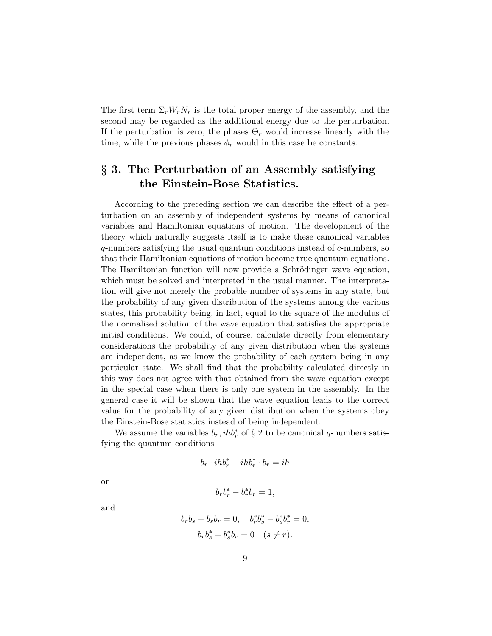The first term  $\Sigma_r W_r N_r$  is the total proper energy of the assembly, and the second may be regarded as the additional energy due to the perturbation. If the perturbation is zero, the phases  $\Theta_r$  would increase linearly with the time, while the previous phases  $\phi_r$  would in this case be constants.

# § 3. The Perturbation of an Assembly satisfying the Einstein-Bose Statistics.

According to the preceding section we can describe the effect of a perturbation on an assembly of independent systems by means of canonical variables and Hamiltonian equations of motion. The development of the theory which naturally suggests itself is to make these canonical variables q-numbers satisfying the usual quantum conditions instead of c-numbers, so that their Hamiltonian equations of motion become true quantum equations. The Hamiltonian function will now provide a Schrödinger wave equation, which must be solved and interpreted in the usual manner. The interpretation will give not merely the probable number of systems in any state, but the probability of any given distribution of the systems among the various states, this probability being, in fact, equal to the square of the modulus of the normalised solution of the wave equation that satisfies the appropriate initial conditions. We could, of course, calculate directly from elementary considerations the probability of any given distribution when the systems are independent, as we know the probability of each system being in any particular state. We shall find that the probability calculated directly in this way does not agree with that obtained from the wave equation except in the special case when there is only one system in the assembly. In the general case it will be shown that the wave equation leads to the correct value for the probability of any given distribution when the systems obey the Einstein-Bose statistics instead of being independent.

We assume the variables  $b_r, ihb_r^*$  of § 2 to be canonical q-numbers satisfying the quantum conditions

$$
b_r \cdot ihb_r^* - ihb_r^* \cdot b_r = ih
$$

or

$$
b_r b_r^* - b_r^* b_r = 1,
$$

and

$$
b_r b_s - b_s b_r = 0, \quad b_r^* b_s^* - b_s^* b_r^* = 0,
$$
  

$$
b_r b_s^* - b_s^* b_r = 0 \quad (s \neq r).
$$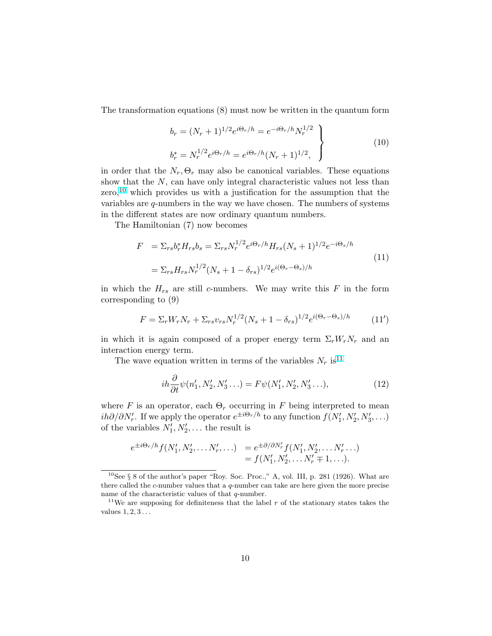The transformation equations (8) must now be written in the quantum form

$$
b_r = (N_r + 1)^{1/2} e^{i\Theta_r/h} = e^{-i\Theta_r/h} N_r^{1/2}
$$
  

$$
b_r^* = N_r^{1/2} e^{i\Theta_r/h} = e^{i\Theta_r/h} (N_r + 1)^{1/2},
$$
 (10)

in order that the  $N_r$ ,  $\Theta_r$  may also be canonical variables. These equations show that the  $N$ , can have only integral characteristic values not less than zero,<sup>10</sup> which provides us with a justification for the assumption that the variables are q-numbers in the way we have chosen. The numbers of systems in the different states are now ordinary quantum numbers.

The Hamiltonian (7) now becomes

$$
F = \sum_{rs} b_r^* H_{rs} b_s = \sum_{rs} N_r^{1/2} e^{i\Theta_r/h} H_{rs} (N_s + 1)^{1/2} e^{-i\Theta_s/h}
$$
  

$$
= \sum_{rs} H_{rs} N_r^{1/2} (N_s + 1 - \delta_{rs})^{1/2} e^{i(\Theta_r - \Theta_s)/h}
$$
 (11)

in which the  $H_{rs}$  are still c-numbers. We may write this  $F$  in the form corresponding to (9)

$$
F = \sum_{r} W_{r} N_{r} + \sum_{rs} v_{rs} N_{r}^{1/2} (N_{s} + 1 - \delta_{rs})^{1/2} e^{i(\Theta_{r} - \Theta_{s})/h}
$$
(11')

in which it is again composed of a proper energy term  $\Sigma_r W_r N_r$  and an interaction energy term.

The wave equation written in terms of the variables  $N_r$  is<sup>11</sup>

$$
ih\frac{\partial}{\partial t}\psi(n'_1, N'_2, N'_3 \ldots) = F\psi(N'_1, N'_2, N'_3 \ldots),\tag{12}
$$

where F is an operator, each  $\Theta_r$  occurring in F being interpreted to mean  $ih\partial/\partial N'_r$ . If we apply the operator  $e^{\pm i\Theta_r/h}$  to any function  $f(N'_1, N'_2, N'_3, ...)$ of the variables  $N'_1, N'_2, \ldots$  the result is

$$
e^{\pm i\Theta_r/h} f(N'_1, N'_2, \dots N'_r, \dots) = e^{\pm \partial/\partial N'_r} f(N'_1, N'_2, \dots N'_r, \dots) = f(N'_1, N'_2, \dots N'_r \mp 1, \dots).
$$

<sup>&</sup>lt;sup>10</sup>See  $\S 8$  of the author's paper "Roy. Soc. Proc.," A, vol. III, p. 281 (1926). What are there called the  $c$ -number values that a  $q$ -number can take are here given the more precise name of the characteristic values of that q-number.

<sup>&</sup>lt;sup>11</sup>We are supposing for definiteness that the label  $r$  of the stationary states takes the values 1, 2, 3 . . .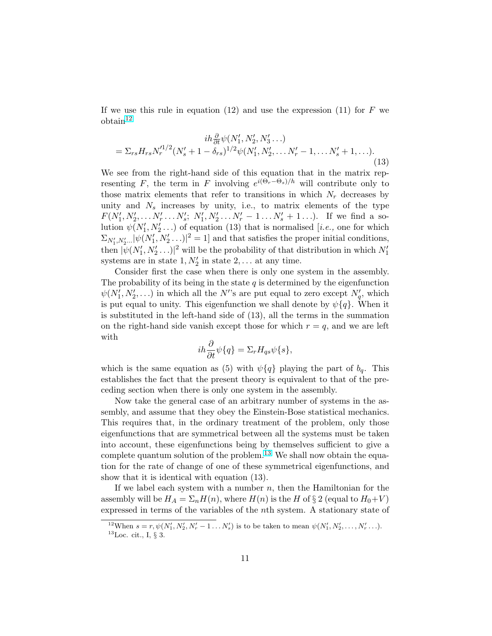If we use this rule in equation  $(12)$  and use the expression  $(11)$  for F we obtain<sup>12</sup>

$$
i\hbar \frac{\partial}{\partial t} \psi(N'_1, N'_2, N'_3 \dots)
$$
  
=  $\Sigma_{rs} H_{rs} N'_r{}^{1/2} (N'_s + 1 - \delta_{rs})^{1/2} \psi(N'_1, N'_2, \dots N'_r - 1, \dots N'_s + 1, \dots).$  (13)

We see from the right-hand side of this equation that in the matrix representing F, the term in F involving  $e^{i(\Theta_r-\Theta_s)/h}$  will contribute only to those matrix elements that refer to transitions in which  $N_r$  decreases by unity and  $N_s$  increases by unity, i.e., to matrix elements of the type  $F(N'_1, N'_2, \ldots N'_r, \ldots N'_s; N'_1, N'_2, \ldots N'_r-1, \ldots N'_s+1, \ldots).$  If we find a solution  $\psi(N'_1, N'_2 \dots)$  of equation (13) that is normalised [*i.e.*, one for which  $\sum_{N'_1, N'_2, \ldots} |\psi(N'_1, N'_2 \ldots)|^2 = 1$  and that satisfies the proper initial conditions, then  $|\psi(N'_1, N'_2 \dots)|^2$  will be the probability of that distribution in which  $N'_1$ systems are in state  $1, N'_2$  in state  $2, \ldots$  at any time.

Consider first the case when there is only one system in the assembly. The probability of its being in the state  $q$  is determined by the eigenfunction  $\psi(N'_1, N'_2, \ldots)$  in which all the N''s are put equal to zero except  $N'_q$ , which is put equal to unity. This eigenfunction we shall denote by  $\psi\{q\}$ . When it is substituted in the left-hand side of (13), all the terms in the summation on the right-hand side vanish except those for which  $r = q$ , and we are left with

$$
ih\frac{\partial}{\partial t}\psi\{q\} = \Sigma_r H_{qs}\psi\{s\},\,
$$

which is the same equation as (5) with  $\psi{q}$  playing the part of  $b_q$ . This establishes the fact that the present theory is equivalent to that of the preceding section when there is only one system in the assembly.

Now take the general case of an arbitrary number of systems in the assembly, and assume that they obey the Einstein-Bose statistical mechanics. This requires that, in the ordinary treatment of the problem, only those eigenfunctions that are symmetrical between all the systems must be taken into account, these eigenfunctions being by themselves sufficient to give a complete quantum solution of the problem.<sup>13</sup> We shall now obtain the equation for the rate of change of one of these symmetrical eigenfunctions, and show that it is identical with equation (13).

If we label each system with a number  $n$ , then the Hamiltonian for the assembly will be  $H_A = \sum_n H(n)$ , where  $H(n)$  is the H of § 2 (equal to  $H_0+V$ ) expressed in terms of the variables of the nth system. A stationary state of

<sup>&</sup>lt;sup>12</sup>When  $s = r, \psi(N'_1, N'_2, N'_r - 1... N'_s)$  is to be taken to mean  $\psi(N'_1, N'_2,..., N'_r...)$ .  $^{13}\mathrm{Loc.}$ cit., I,  $\S$ 3.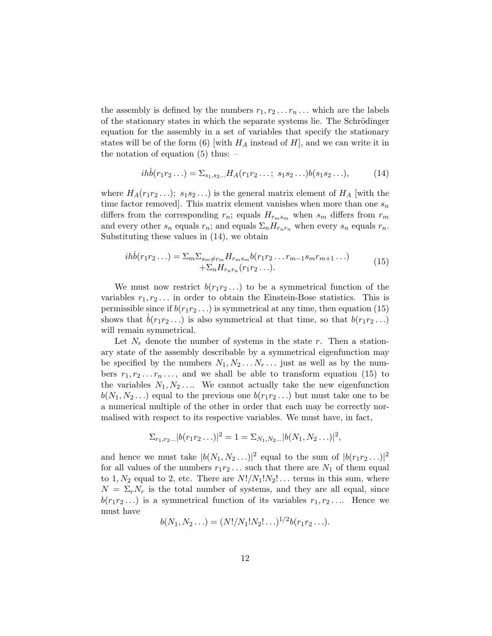the assembly is defined by the numbers  $r_1, r_2, \ldots, r_n, \ldots$  which are the labels of the stationary states in which the separate systems lie. The Schrödinger equation for the assembly in a set of variables that specify the stationary states will be of the form (6) with  $H_A$  instead of  $H$ , and we can write it in the notation of equation  $(5)$  thus:  $-$ 

$$
ih\dot{b}(r_1r_2\ldots) = \Sigma_{s_1, s_2\ldots} H_A(r_1r_2\ldots; s_1s_2\ldots) b(s_1s_2\ldots), \tag{14}
$$

where  $H_A(r_1r_2 \ldots); s_1s_2 \ldots$ ) is the general matrix element of  $H_A$  [with the time factor removed. This matrix element vanishes when more than one  $s_n$ differs from the corresponding  $r_n$ ; equals  $H_{r_m s_m}$  when  $s_m$  differs from  $r_m$ and every other  $s_n$  equals  $r_n$ ; and equals  $\Sigma_n H_{r_n r_n}$  when every  $s_n$  equals  $r_n$ . Substituting these values in (14), we obtain

$$
i h \dot{b}(r_1 r_2 \dots) = \sum_{m} \sum_{s_m \neq r_m} H_{r_m s_m} b(r_1 r_2 \dots r_{m-1} s_m r_{m+1} \dots) + \sum_{n} H_{r_n r_n}(r_1 r_2 \dots).
$$
 (15)

We must now restrict  $b(r_1r_2...)$  to be a symmetrical function of the variables  $r_1, r_2, \ldots$  in order to obtain the Einstein-Bose statistics. This is permissible since if  $b(r_1r_2...)$  is symmetrical at any time, then equation (15) shows that  $b(r_1r_2 \ldots)$  is also symmetrical at that time, so that  $b(r_1r_2 \ldots)$ will remain symmetrical.

Let  $N_r$  denote the number of systems in the state r. Then a stationary state of the assembly describable by a symmetrical eigenfunction may be specified by the numbers  $N_1, N_2, \ldots, N_r, \ldots$  just as well as by the numbers  $r_1, r_2, \ldots, r$  and we shall be able to transform equation (15) to the variables  $N_1, N_2, \ldots$  We cannot actually take the new eigenfunction  $b(N_1, N_2, \ldots)$  equal to the previous one  $b(r_1r_2 \ldots)$  but must take one to be a numerical multiple of the other in order that each may be correctly normalised with respect to its respective variables. We must have, in fact,

$$
\sum_{r_1,r_2...} |b(r_1r_2...)|^2 = 1 = \sum_{N_1,N_2...} |b(N_1,N_2...)|^2,
$$

and hence we must take  $|b(N_1, N_2 \ldots)|^2$  equal to the sum of  $|b(r_1r_2 \ldots)|^2$ for all values of the numbers  $r_1r_2...$  such that there are  $N_1$  of them equal to 1,  $N_2$  equal to 2, etc. There are  $N!/N_1!N_2!...$  terms in this sum, where  $N = \Sigma_r N_r$  is the total number of systems, and they are all equal, since  $b(r_1r_2...)$  is a symmetrical function of its variables  $r_1, r_2, \ldots$  Hence we must have

$$
b(N_1, N_2 \dots) = (N!/N_1!N_2! \dots)^{1/2} b(r_1 r_2 \dots).
$$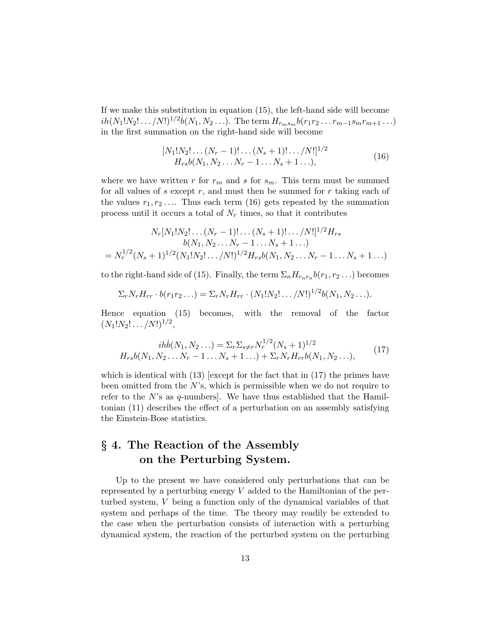If we make this substitution in equation (15), the left-hand side will become  $ih(N_1!N_2! \ldots/N!)^{1/2} \dot{b}(N_1, N_2 \ldots)$ . The term  $H_{r_m s_m} b(r_1 r_2 \ldots r_{m-1} s_m r_{m+1} \ldots)$ in the first summation on the right-hand side will become

$$
[N_1!N_2! \dots (N_r-1)! \dots (N_s+1)! \dots /N!]^{1/2}
$$
  
\n
$$
H_{rs}b(N_1, N_2 \dots N_r - 1 \dots N_s + 1 \dots),
$$
\n(16)

where we have written r for  $r_m$  and s for  $s_m$ . This term must be summed for all values of s except r, and must then be summed for r taking each of the values  $r_1, r_2, \ldots$  Thus each term (16) gets repeated by the summation process until it occurs a total of  $N_r$  times, so that it contributes

$$
N_r[N_1!N_2!\dots(N_r-1)!\dots(N_s+1)!\dots/N!]^{1/2}H_{rs}
$$
  
\n
$$
b(N_1, N_2 \dots N_r-1 \dots N_s+1 \dots)
$$
  
\n
$$
= N_r^{1/2}(N_s+1)^{1/2}(N_1!N_2!\dots/N!)^{1/2}H_{rs}b(N_1, N_2 \dots N_r-1 \dots N_s+1 \dots)
$$

to the right-hand side of (15). Finally, the term  $\Sigma_n H_{r_n r_n} b(r_1, r_2 \dots)$  becomes

$$
\Sigma_r N_r H_{rr} \cdot b(r_1 r_2 \dots) = \Sigma_r N_r H_{rr} \cdot (N_1! N_2! \dots / N!)^{1/2} b(N_1, N_2 \dots).
$$

Hence equation (15) becomes, with the removal of the factor  $(N_1!N_2! \dots / N!)^{1/2},$ 

$$
ih\dot{b}(N_1, N_2 \dots) = \Sigma_r \Sigma_{s \neq r} N_r^{1/2} (N_s + 1)^{1/2}
$$
  
\n
$$
H_{rs}b(N_1, N_2 \dots N_r - 1 \dots N_s + 1 \dots) + \Sigma_r N_r H_{rr} b(N_1, N_2 \dots),
$$
\n(17)

which is identical with (13) [except for the fact that in (17) the primes have been omitted from the  $N$ 's, which is permissible when we do not require to refer to the  $N$ 's as  $q$ -numbers. We have thus established that the Hamiltonian (11) describes the effect of a perturbation on an assembly satisfying the Einstein-Bose statistics.

### § 4. The Reaction of the Assembly on the Perturbing System.

Up to the present we have considered only perturbations that can be represented by a perturbing energy  $V$  added to the Hamiltonian of the perturbed system, V being a function only of the dynamical variables of that system and perhaps of the time. The theory may readily be extended to the case when the perturbation consists of interaction with a perturbing dynamical system, the reaction of the perturbed system on the perturbing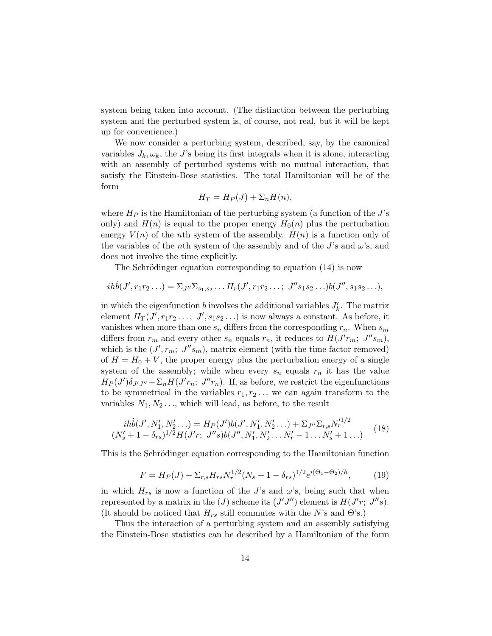system being taken into account. (The distinction between the perturbing system and the perturbed system is, of course, not real, but it will be kept up for convenience.)

We now consider a perturbing system, described, say, by the canonical variables  $J_k, \omega_k$ , the J's being its first integrals when it is alone, interacting with an assembly of perturbed systems with no mutual interaction, that satisfy the Einstein-Bose statistics. The total Hamiltonian will be of the form

$$
H_T = H_P(J) + \Sigma_n H(n),
$$

where  $H_P$  is the Hamiltonian of the perturbing system (a function of the J's only) and  $H(n)$  is equal to the proper energy  $H_0(n)$  plus the perturbation energy  $V(n)$  of the nth system of the assembly.  $H(n)$  is a function only of the variables of the *n*th system of the assembly and of the J's and  $\omega$ 's, and does not involve the time explicitly.

The Schrödinger equation corresponding to equation  $(14)$  is now

$$
ih\dot{b}(J',r_1r_2\ldots)=\Sigma_{J''}\Sigma_{s_1,s_2}\ldots H_r(J',r_1r_2\ldots; J''s_1s_2\ldots)b(J'',s_1s_2\ldots),
$$

in which the eigenfunction b involves the additional variables  $J'_k$ . The matrix element  $H_T(J', r_1r_2 \ldots; J', s_1s_2 \ldots)$  is now always a constant. As before, it vanishes when more than one  $s_n$  differs from the corresponding  $r_n$ . When  $s_m$ differs from  $r_m$  and every other  $s_n$  equals  $r_n$ , it reduces to  $H(J'r_m; J''s_m)$ , which is the  $(J', r_m; J''s_m)$ , matrix element (with the time factor removed) of  $H = H_0 + V$ , the proper energy plus the perturbation energy of a single system of the assembly; while when every  $s_n$  equals  $r_n$  it has the value  $H_P(J')\delta_{J'J''} + \Sigma_n H(J'r_n; J''r_n)$ . If, as before, we restrict the eigenfunctions to be symmetrical in the variables  $r_1, r_2, \ldots$  we can again transform to the variables  $N_1, N_2, \ldots$ , which will lead, as before, to the result

$$
i\hbar \dot{b}(J', N'_1, N'_2 \dots) = H_P(J')b(J', N'_1, N'_2 \dots) + \Sigma_{J''} \Sigma_{r,s} N_r'^{1/2}
$$
  

$$
(N'_s + 1 - \delta_{rs})^{1/2} H(J'r; J''s) b(J'', N'_1, N'_2 \dots N'_r - 1 \dots N'_s + 1 \dots)
$$
 (18)

This is the Schrödinger equation corresponding to the Hamiltonian function

$$
F = H_P(J) + \Sigma_{r,s} H_{rs} N_r^{1/2} (N_s + 1 - \delta_{rs})^{1/2} e^{i(\Theta_1 - \Theta_2)/h},\tag{19}
$$

in which  $H_{rs}$  is now a function of the J's and  $\omega$ 's, being such that when represented by a matrix in the  $(J)$  scheme its  $(J'J'')$  element is  $H(J'r; J''s)$ . (It should be noticed that  $H_{rs}$  still commutes with the N's and  $\Theta$ 's.)

Thus the interaction of a perturbing system and an assembly satisfying the Einstein-Bose statistics can be described by a Hamiltonian of the form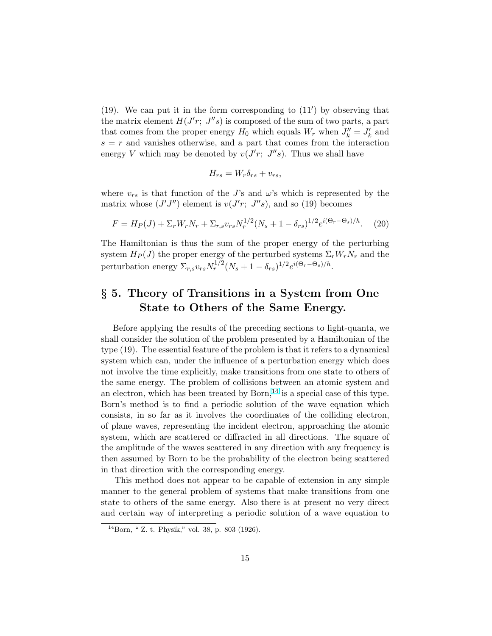$(19)$ . We can put it in the form corresponding to  $(11')$  by observing that the matrix element  $H(J'r; J''s)$  is composed of the sum of two parts, a part that comes from the proper energy  $H_0$  which equals  $W_r$  when  $J''_k = J'_k$  and  $s = r$  and vanishes otherwise, and a part that comes from the interaction energy V which may be denoted by  $v(J'r; J''s)$ . Thus we shall have

$$
H_{rs} = W_r \delta_{rs} + v_{rs},
$$

where  $v_{rs}$  is that function of the J's and  $\omega$ 's which is represented by the matrix whose  $(J'J'')$  element is  $v(J'r; J''s)$ , and so (19) becomes

$$
F = H_P(J) + \Sigma_r W_r N_r + \Sigma_{r,s} v_{rs} N_r^{1/2} (N_s + 1 - \delta_{rs})^{1/2} e^{i(\Theta_r - \Theta_s)/h}.
$$
 (20)

The Hamiltonian is thus the sum of the proper energy of the perturbing system  $H_P(J)$  the proper energy of the perturbed systems  $\Sigma_r W_r N_r$  and the perturbation energy  $\Sigma_{r,s} v_{rs} N_r^{1/2} (N_s + 1 - \delta_{rs})^{1/2} e^{i(\Theta_r - \Theta_s)/h}$ .

## § 5. Theory of Transitions in a System from One State to Others of the Same Energy.

Before applying the results of the preceding sections to light-quanta, we shall consider the solution of the problem presented by a Hamiltonian of the type (19). The essential feature of the problem is that it refers to a dynamical system which can, under the influence of a perturbation energy which does not involve the time explicitly, make transitions from one state to others of the same energy. The problem of collisions between an atomic system and an electron, which has been treated by  $Born<sup>14</sup>$  is a special case of this type. Born's method is to find a periodic solution of the wave equation which consists, in so far as it involves the coordinates of the colliding electron, of plane waves, representing the incident electron, approaching the atomic system, which are scattered or diffracted in all directions. The square of the amplitude of the waves scattered in any direction with any frequency is then assumed by Born to be the probability of the electron being scattered in that direction with the corresponding energy.

This method does not appear to be capable of extension in any simple manner to the general problem of systems that make transitions from one state to others of the same energy. Also there is at present no very direct and certain way of interpreting a periodic solution of a wave equation to

 $14$ Born, " Z. t. Physik," vol. 38, p. 803 (1926).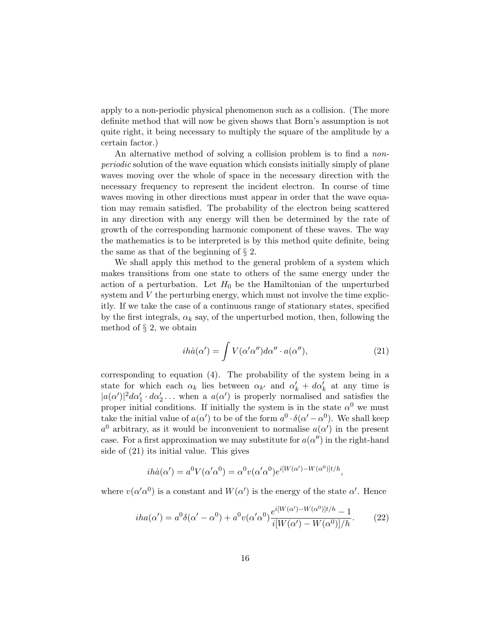apply to a non-periodic physical phenomenon such as a collision. (The more definite method that will now be given shows that Born's assumption is not quite right, it being necessary to multiply the square of the amplitude by a certain factor.)

An alternative method of solving a collision problem is to find a *non*periodic solution of the wave equation which consists initially simply of plane waves moving over the whole of space in the necessary direction with the necessary frequency to represent the incident electron. In course of time waves moving in other directions must appear in order that the wave equation may remain satisfied. The probability of the electron being scattered in any direction with any energy will then be determined by the rate of growth of the corresponding harmonic component of these waves. The way the mathematics is to be interpreted is by this method quite definite, being the same as that of the beginning of § 2.

We shall apply this method to the general problem of a system which makes transitions from one state to others of the same energy under the action of a perturbation. Let  $H_0$  be the Hamiltonian of the unperturbed system and V the perturbing energy, which must not involve the time explicitly. If we take the case of a continuous range of stationary states, specified by the first integrals,  $\alpha_k$  say, of the unperturbed motion, then, following the method of § 2, we obtain

$$
i\hbar \dot{a}(\alpha') = \int V(\alpha' \alpha'') d\alpha'' \cdot a(\alpha''), \qquad (21)
$$

corresponding to equation (4). The probability of the system being in a state for which each  $\alpha_k$  lies between  $\alpha_{k'}$  and  $\alpha'_{k} + d\alpha'_{k}$  at any time is  $|a(\alpha')|^2 d\alpha'_1 \cdot d\alpha'_2 \dots$  when a  $a(\alpha')$  is properly normalised and satisfies the proper initial conditions. If initially the system is in the state  $\alpha^0$  we must take the initial value of  $a(\alpha')$  to be of the form  $a^0 \cdot \delta(\alpha'-\alpha^0)$ . We shall keep  $a^0$  arbitrary, as it would be inconvenient to normalise  $a(\alpha')$  in the present case. For a first approximation we may substitute for  $a(\alpha'')$  in the right-hand side of (21) its initial value. This gives

$$
i h \dot{a}(\alpha') = a^0 V(\alpha' \alpha^0) = \alpha^0 v(\alpha' \alpha^0) e^{i[W(\alpha') - W(\alpha^0)]t/h},
$$

where  $v(\alpha' \alpha^0)$  is a constant and  $W(\alpha')$  is the energy of the state  $\alpha'$ . Hence

$$
iha(\alpha') = a^0 \delta(\alpha' - \alpha^0) + a^0 v(\alpha' \alpha^0) \frac{e^{i[W(\alpha') - W(\alpha^0)]t/h} - 1}{i[W(\alpha') - W(\alpha^0)]/h}.
$$
 (22)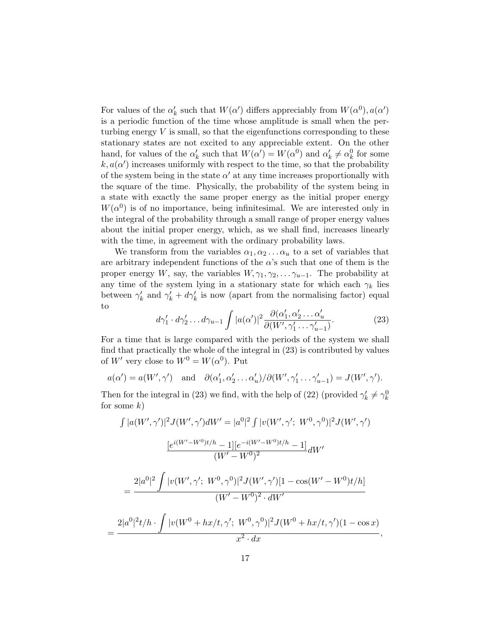For values of the  $\alpha'_k$  such that  $W(\alpha')$  differs appreciably from  $W(\alpha^0), a(\alpha')$ is a periodic function of the time whose amplitude is small when the perturbing energy  $V$  is small, so that the eigenfunctions corresponding to these stationary states are not excited to any appreciable extent. On the other hand, for values of the  $\alpha'_k$  such that  $W(\alpha') = W(\alpha^0)$  and  $\alpha'_k \neq \alpha^0_k$  for some  $k, a(\alpha')$  increases uniformly with respect to the time, so that the probability of the system being in the state  $\alpha'$  at any time increases proportionally with the square of the time. Physically, the probability of the system being in a state with exactly the same proper energy as the initial proper energy  $W(\alpha^0)$  is of no importance, being infinitesimal. We are interested only in the integral of the probability through a small range of proper energy values about the initial proper energy, which, as we shall find, increases linearly with the time, in agreement with the ordinary probability laws.

We transform from the variables  $\alpha_1, \alpha_2 \ldots \alpha_u$  to a set of variables that are arbitrary independent functions of the  $\alpha$ 's such that one of them is the proper energy W, say, the variables  $W, \gamma_1, \gamma_2, \ldots, \gamma_{u-1}$ . The probability at any time of the system lying in a stationary state for which each  $\gamma_k$  lies between  $\gamma'_k$  and  $\gamma'_k + d\gamma'_k$  is now (apart from the normalising factor) equal to

$$
d\gamma_1' \cdot d\gamma_2' \dots d\gamma_{u-1} \int |a(\alpha')|^2 \frac{\partial(\alpha_1', \alpha_2' \dots \alpha_u')}{\partial(W', \gamma_1' \dots \gamma_{u-1}')}.
$$
 (23)

For a time that is large compared with the periods of the system we shall find that practically the whole of the integral in (23) is contributed by values of W' very close to  $W^0 = W(\alpha^0)$ . Put

$$
a(\alpha') = a(W', \gamma')
$$
 and  $\partial(\alpha'_1, \alpha'_2 \dots \alpha'_u)/\partial(W', \gamma'_1 \dots \gamma'_{u-1}) = J(W', \gamma').$ 

Then for the integral in (23) we find, with the help of (22) (provided  $\gamma'_k \neq \gamma^0_k$ for some  $k$ )

$$
\int |a(W', \gamma')|^2 J(W', \gamma') dW' = |a^0|^2 \int |v(W', \gamma'; W^0, \gamma^0)|^2 J(W', \gamma')
$$
  

$$
\frac{[e^{i(W'-W^0)t/h} - 1][e^{-i(W'-W^0)t/h} - 1]}{(W'-W^0)^2} dW'
$$
  

$$
= \frac{2|a^0|^2 \int |v(W', \gamma'; W^0, \gamma^0)|^2 J(W', \gamma')[1 - \cos(W'-W^0)t/h]}{(W'-W^0)^2 \cdot dW'}
$$
  

$$
= \frac{2|a^0|^2 t/h \cdot \int |v(W^0 + hx/t, \gamma'; W^0, \gamma^0)|^2 J(W^0 + hx/t, \gamma')(1 - \cos x)}{x^2 \cdot dx},
$$

=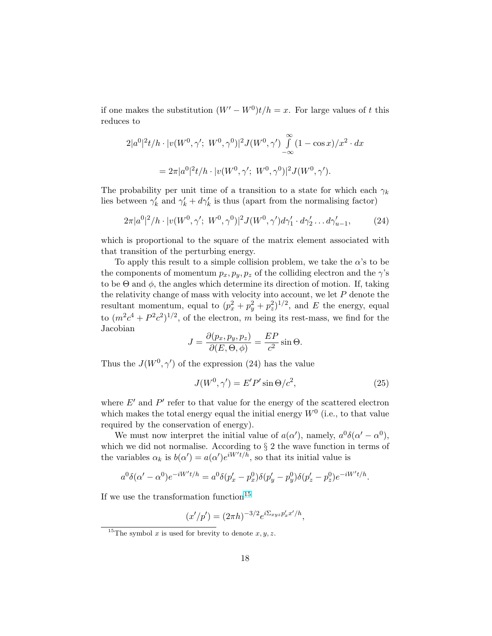if one makes the substitution  $(W'-W^0)t/h = x$ . For large values of t this reduces to

$$
2|a^{0}|^{2}t/h \cdot |v(W^{0}, \gamma'; W^{0}, \gamma^{0})|^{2}J(W^{0}, \gamma') \int_{-\infty}^{\infty} (1 - \cos x)/x^{2} \cdot dx
$$
  
=  $2\pi |a^{0}|^{2}t/h \cdot |v(W^{0}, \gamma'; W^{0}, \gamma^{0})|^{2}J(W^{0}, \gamma').$ 

The probability per unit time of a transition to a state for which each  $\gamma_k$ lies between  $\gamma'_k$  and  $\gamma'_k + d\gamma'_k$  is thus (apart from the normalising factor)

$$
2\pi |a^{0}|^{2}/h \cdot |v(W^{0}, \gamma'; W^{0}, \gamma^{0})|^{2} J(W^{0}, \gamma') d\gamma'_{1} \cdot d\gamma'_{2} \dots d\gamma'_{u-1}, \qquad (24)
$$

which is proportional to the square of the matrix element associated with that transition of the perturbing energy.

To apply this result to a simple collision problem, we take the  $\alpha$ 's to be the components of momentum  $p_x, p_y, p_z$  of the colliding electron and the  $\gamma$ 's to be  $\Theta$  and  $\phi$ , the angles which determine its direction of motion. If, taking the relativity change of mass with velocity into account, we let P denote the resultant momentum, equal to  $(p_x^2 + p_y^2 + p_z^2)^{1/2}$ , and E the energy, equal to  $(m^2c^4 + P^2c^2)^{1/2}$ , of the electron, m being its rest-mass, we find for the Jacobian

$$
J = \frac{\partial(p_x, p_y, p_z)}{\partial(E, \Theta, \phi)} = \frac{EP}{c^2} \sin \Theta.
$$

Thus the  $J(W^0, \gamma')$  of the expression (24) has the value

$$
J(W^0, \gamma') = E'P' \sin \Theta/c^2, \qquad (25)
$$

where  $E'$  and  $P'$  refer to that value for the energy of the scattered electron which makes the total energy equal the initial energy  $W^0$  (i.e., to that value required by the conservation of energy).

We must now interpret the initial value of  $a(\alpha')$ , namely,  $a^0\delta(\alpha'-\alpha^0)$ , which we did not normalise. According to  $\S 2$  the wave function in terms of the variables  $\alpha_k$  is  $b(\alpha') = a(\alpha')e^{iW't/\bar{h}}$ , so that its initial value is

$$
a^{0}\delta(\alpha'-\alpha^{0})e^{-iW't/h} = a^{0}\delta(p'_{x}-p^{0}_{x})\delta(p'_{y}-p^{0}_{y})\delta(p'_{z}-p^{0}_{z})e^{-iW't/h}.
$$

If we use the transformation function<sup>15</sup>

$$
(x'/p') = (2\pi h)^{-3/2} e^{i\Sigma_{xyz}p'_x x'/h},
$$

<sup>&</sup>lt;sup>15</sup>The symbol x is used for brevity to denote  $x, y, z$ .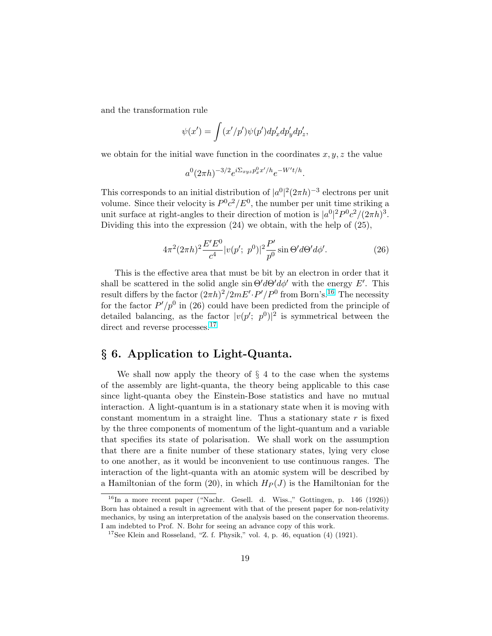and the transformation rule

$$
\psi(x') = \int (x'/p')\psi(p')dp'_x dp'_y dp'_z,
$$

we obtain for the initial wave function in the coordinates  $x, y, z$  the value

$$
a^0(2\pi h)^{-3/2}e^{i\Sigma_{xyz}p_x^0x'/h}e^{-W't/h}.
$$

This corresponds to an initial distribution of  $|a^0|^2(2\pi h)^{-3}$  electrons per unit volume. Since their velocity is  $P^0c^2/E^0$ , the number per unit time striking a unit surface at right-angles to their direction of motion is  $|a^0|^2 P^0 c^2/(2\pi h)^3$ . Dividing this into the expression (24) we obtain, with the help of (25),

$$
4\pi^2 (2\pi h)^2 \frac{E' E^0}{c^4} |v(p';\ p^0)|^2 \frac{P'}{p^0} \sin\Theta' d\Theta' d\phi'.\tag{26}
$$

This is the effective area that must be bit by an electron in order that it shall be scattered in the solid angle  $\sin \Theta' d\Theta' d\phi'$  with the energy E'. This result differs by the factor  $(2\pi h)^2/2mE' \cdot P'/P^0$  from Born's.<sup>16</sup> The necessity for the factor  $P'/p^0$  in (26) could have been predicted from the principle of detailed balancing, as the factor  $|v(p'; p^0)|^2$  is symmetrical between the direct and reverse processes.<sup>17</sup>

#### § 6. Application to Light-Quanta.

We shall now apply the theory of  $\S$  4 to the case when the systems of the assembly are light-quanta, the theory being applicable to this case since light-quanta obey the Einstein-Bose statistics and have no mutual interaction. A light-quantum is in a stationary state when it is moving with constant momentum in a straight line. Thus a stationary state  $r$  is fixed by the three components of momentum of the light-quantum and a variable that specifies its state of polarisation. We shall work on the assumption that there are a finite number of these stationary states, lying very close to one another, as it would be inconvenient to use continuous ranges. The interaction of the light-quanta with an atomic system will be described by a Hamiltonian of the form (20), in which  $H_P(J)$  is the Hamiltonian for the

 $^{16}$ In a more recent paper ("Nachr. Gesell. d. Wiss.," Gottingen, p. 146 (1926)) Born has obtained a result in agreement with that of the present paper for non-relativity mechanics, by using an interpretation of the analysis based on the conservation theorems. I am indebted to Prof. N. Bohr for seeing an advance copy of this work.

<sup>&</sup>lt;sup>17</sup>See Klein and Rosseland, "Z. f. Physik," vol. 4, p. 46, equation  $(4)$   $(1921)$ .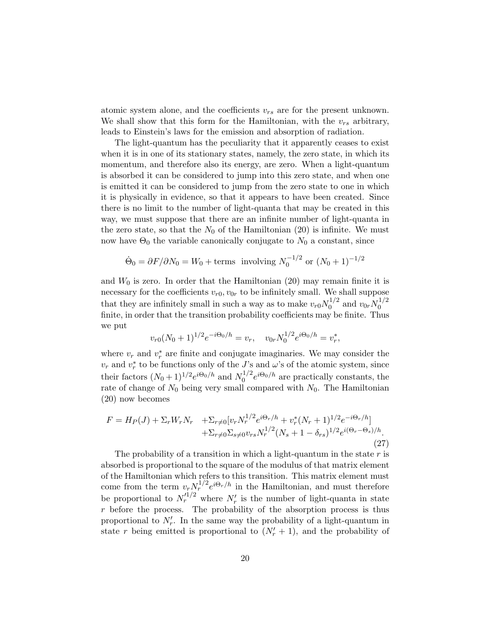atomic system alone, and the coefficients  $v_{rs}$  are for the present unknown. We shall show that this form for the Hamiltonian, with the  $v_{rs}$  arbitrary, leads to Einstein's laws for the emission and absorption of radiation.

The light-quantum has the peculiarity that it apparently ceases to exist when it is in one of its stationary states, namely, the zero state, in which its momentum, and therefore also its energy, are zero. When a light-quantum is absorbed it can be considered to jump into this zero state, and when one is emitted it can be considered to jump from the zero state to one in which it is physically in evidence, so that it appears to have been created. Since there is no limit to the number of light-quanta that may be created in this way, we must suppose that there are an infinite number of light-quanta in the zero state, so that the  $N_0$  of the Hamiltonian (20) is infinite. We must now have  $\Theta_0$  the variable canonically conjugate to  $N_0$  a constant, since

$$
\dot{\Theta}_0 = \partial F / \partial N_0 = W_0 + \text{terms involving } N_0^{-1/2} \text{ or } (N_0 + 1)^{-1/2}
$$

and  $W_0$  is zero. In order that the Hamiltonian (20) may remain finite it is necessary for the coefficients  $v_{r0}$ ,  $v_{0r}$  to be infinitely small. We shall suppose that they are infinitely small in such a way as to make  $v_{r0}N_0^{1/2}$  $v_0^{1/2}$  and  $v_{0r} N_0^{1/2}$ 0 finite, in order that the transition probability coefficients may be finite. Thus we put

$$
v_{r0}(N_0+1)^{1/2}e^{-i\Theta_0/h} = v_r, \quad v_{0r}N_0^{1/2}e^{i\Theta_0/h} = v_r^*,
$$

where  $v_r$  and  $v_r^*$  are finite and conjugate imaginaries. We may consider the  $v_r$  and  $v_r^*$  to be functions only of the J's and  $\omega$ 's of the atomic system, since their factors  $(N_0+1)^{1/2}e^{i\Theta_0/h}$  and  $N_0^{1/2}$  $e^{i\Theta_0/h}$  are practically constants, the rate of change of  $N_0$  being very small compared with  $N_0$ . The Hamiltonian (20) now becomes

$$
F = H_P(J) + \Sigma_r W_r N_r + \Sigma_{r \neq 0} [v_r N_r^{1/2} e^{i\Theta_r/h} + v_r^* (N_r + 1)^{1/2} e^{-i\Theta_r/h}] + \Sigma_{r \neq 0} \Sigma_{s \neq 0} v_{rs} N_r^{1/2} (N_s + 1 - \delta_{rs})^{1/2} e^{i(\Theta_r - \Theta_s)/h}.
$$
\n(27)

The probability of a transition in which a light-quantum in the state  $r$  is absorbed is proportional to the square of the modulus of that matrix element of the Hamiltonian which refers to this transition. This matrix element must come from the term  $v_r N_r^{1/2} e^{i\Theta_r/h}$  in the Hamiltonian, and must therefore be proportional to  $N_r'^{1/2}$  where  $N_r'$  is the number of light-quanta in state  $r$  before the process. The probability of the absorption process is thus proportional to  $N'_r$ . In the same way the probability of a light-quantum in state r being emitted is proportional to  $(N'_r + 1)$ , and the probability of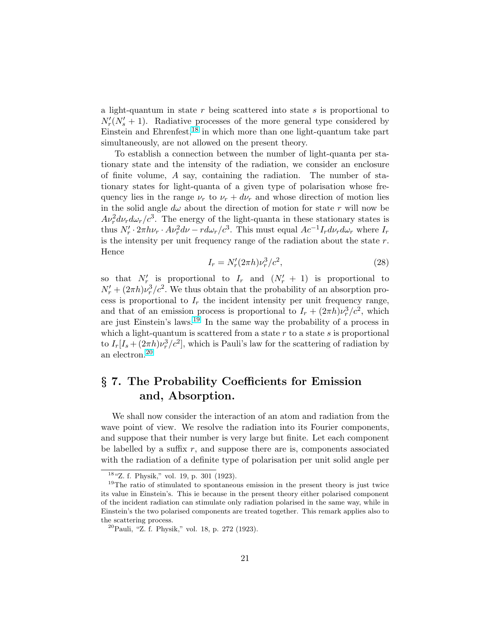a light-quantum in state  $r$  being scattered into state  $s$  is proportional to  $N_r'(N_s'+1)$ . Radiative processes of the more general type considered by Einstein and Ehrenfest, $^{18}$  in which more than one light-quantum take part simultaneously, are not allowed on the present theory.

To establish a connection between the number of light-quanta per stationary state and the intensity of the radiation, we consider an enclosure of finite volume, A say, containing the radiation. The number of stationary states for light-quanta of a given type of polarisation whose frequency lies in the range  $\nu_r$  to  $\nu_r + d\nu_r$  and whose direction of motion lies in the solid angle  $d\omega$  about the direction of motion for state r will now be  $A\nu_r^2 d\nu_r d\omega_r/c^3$ . The energy of the light-quanta in these stationary states is thus  $N'_r \cdot 2\pi h\nu_r \cdot Av_r^2 d\nu - r d\omega_r/c^3$ . This must equal  $Ac^{-1}I_r d\nu_r d\omega_r$  where  $I_r$ is the intensity per unit frequency range of the radiation about the state  $r$ . Hence

$$
I_r = N'_r (2\pi h) \nu_r^3 / c^2,
$$
\n(28)

so that  $N'_r$  is proportional to  $I_r$  and  $(N'_r + 1)$  is proportional to  $N'_r + (2\pi h)\nu_r^3/c^2$ . We thus obtain that the probability of an absorption process is proportional to  $I_r$  the incident intensity per unit frequency range, and that of an emission process is proportional to  $I_r + (2\pi h)\nu_r^3/c^2$ , which are just Einstein's laws.<sup>19</sup> In the same way the probability of a process in which a light-quantum is scattered from a state  $r$  to a state  $s$  is proportional to  $I_r[I_s + (2\pi h)\nu_r^3/c^2]$ , which is Pauli's law for the scattering of radiation by an electron.<sup>20</sup>

### § 7. The Probability Coefficients for Emission and, Absorption.

We shall now consider the interaction of an atom and radiation from the wave point of view. We resolve the radiation into its Fourier components, and suppose that their number is very large but finite. Let each component be labelled by a suffix  $r$ , and suppose there are is, components associated with the radiation of a definite type of polarisation per unit solid angle per

<sup>18</sup>"Z. f. Physik," vol. 19, p. 301 (1923).

<sup>&</sup>lt;sup>19</sup>The ratio of stimulated to spontaneous emission in the present theory is just twice its value in Einstein's. This ie because in the present theory either polarised component of the incident radiation can stimulate only radiation polarised in the same way, while in Einstein's the two polarised components are treated together. This remark applies also to the scattering process.

 $20$ Pauli, "Z. f. Physik," vol. 18, p. 272 (1923).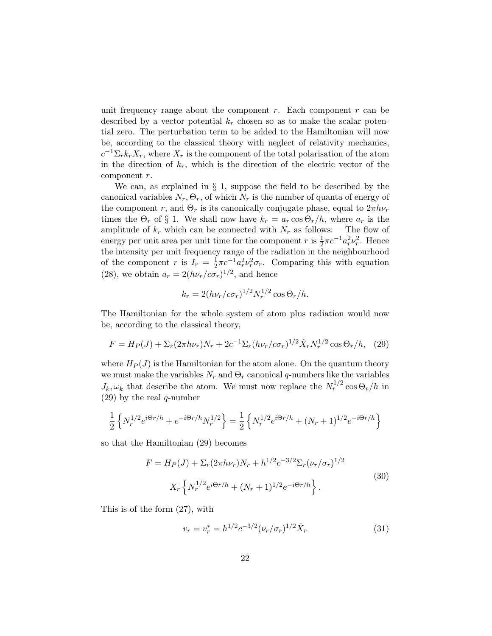unit frequency range about the component  $r$ . Each component  $r$  can be described by a vector potential  $k_r$  chosen so as to make the scalar potential zero. The perturbation term to be added to the Hamiltonian will now be, according to the classical theory with neglect of relativity mechanics,  $c^{-1}\Sigma_r k_r X_r$ , where  $X_r$  is the component of the total polarisation of the atom in the direction of  $k_r$ , which is the direction of the electric vector of the component  $r$ .

We can, as explained in  $\S$  1, suppose the field to be described by the canonical variables  $N_r$ ,  $\Theta_r$ , of which  $N_r$  is the number of quanta of energy of the component r, and  $\Theta_r$  is its canonically conjugate phase, equal to  $2\pi h\nu_r$ times the  $\Theta_r$  of § 1. We shall now have  $k_r = a_r \cos \Theta_r/h$ , where  $a_r$  is the amplitude of  $k_r$  which can be connected with  $N_r$  as follows: – The flow of energy per unit area per unit time for the component r is  $\frac{1}{2}\pi c^{-1}a_r^2\nu_r^2$ . Hence the intensity per unit frequency range of the radiation in the neighbourhood of the component r is  $I_r = \frac{1}{2}$  $\frac{1}{2}\pi c^{-1}a_r^2\nu_r^2\sigma_r$ . Comparing this with equation (28), we obtain  $a_r = 2(h\nu_r/c\sigma_r)^{1/2}$ , and hence

$$
k_r = 2(h\nu_r/c\sigma_r)^{1/2} N_r^{1/2} \cos \Theta_r/h.
$$

The Hamiltonian for the whole system of atom plus radiation would now be, according to the classical theory,

$$
F = H_P(J) + \Sigma_r (2\pi h\nu_r) N_r + 2c^{-1} \Sigma_r (h\nu_r/c\sigma_r)^{1/2} \dot{X}_r N_r^{1/2} \cos \Theta_r / h, \quad (29)
$$

where  $H_P(J)$  is the Hamiltonian for the atom alone. On the quantum theory we must make the variables  $N_r$  and  $\Theta_r$  canonical q-numbers like the variables  $J_k, \omega_k$  that describe the atom. We must now replace the  $N_r^{1/2} \cos \Theta_r/h$  in (29) by the real  $q$ -number

$$
\frac{1}{2}\left\{N_r^{1/2}e^{i\Theta r/h} + e^{-i\Theta r/h}N_r^{1/2}\right\} = \frac{1}{2}\left\{N_r^{1/2}e^{i\Theta r/h} + (N_r+1)^{1/2}e^{-i\Theta r/h}\right\}
$$

so that the Hamiltonian (29) becomes

$$
F = H_P(J) + \Sigma_r (2\pi h\nu_r) N_r + h^{1/2} c^{-3/2} \Sigma_r (\nu_r / \sigma_r)^{1/2}
$$
  

$$
X_r \left\{ N_r^{1/2} e^{i\Theta r/h} + (N_r + 1)^{1/2} e^{-i\Theta r/h} \right\}.
$$
 (30)

This is of the form (27), with

$$
v_r = v_r^* = h^{1/2} c^{-3/2} (\nu_r / \sigma_r)^{1/2} \dot{X}_r
$$
\n(31)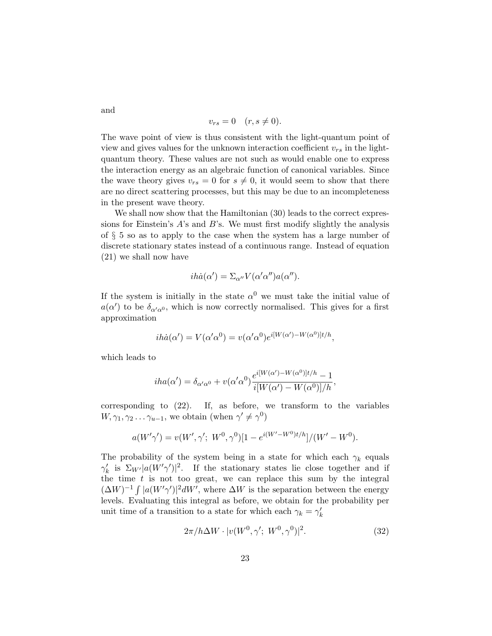$v_{rs} = 0 \quad (r, s \neq 0).$ 

The wave point of view is thus consistent with the light-quantum point of view and gives values for the unknown interaction coefficient  $v_{rs}$  in the lightquantum theory. These values are not such as would enable one to express the interaction energy as an algebraic function of canonical variables. Since the wave theory gives  $v_{rs} = 0$  for  $s \neq 0$ , it would seem to show that there are no direct scattering processes, but this may be due to an incompleteness in the present wave theory.

We shall now show that the Hamiltonian (30) leads to the correct expressions for Einstein's  $A$ 's and  $B$ 's. We must first modify slightly the analysis of § 5 so as to apply to the case when the system has a large number of discrete stationary states instead of a continuous range. Instead of equation (21) we shall now have

$$
ih\dot{a}(\alpha') = \Sigma_{\alpha''} V(\alpha'\alpha'') a(\alpha'').
$$

If the system is initially in the state  $\alpha^0$  we must take the initial value of  $a(\alpha')$  to be  $\delta_{\alpha'\alpha^0}$ , which is now correctly normalised. This gives for a first approximation

$$
i h \dot{a}(\alpha') = V(\alpha' \alpha^0) = v(\alpha' \alpha^0) e^{i[W(\alpha') - W(\alpha^0)]t/h},
$$

which leads to

$$
iha(\alpha') = \delta_{\alpha'\alpha^0} + v(\alpha'\alpha^0) \frac{e^{i[W(\alpha') - W(\alpha^0)]t/h} - 1}{i[W(\alpha') - W(\alpha^0)]/h},
$$

corresponding to (22). If, as before, we transform to the variables  $W, \gamma_1, \gamma_2 \dots \gamma_{u-1}$ , we obtain (when  $\gamma' \neq \gamma^0$ )

$$
a(W'\gamma') = v(W', \gamma'; W^0, \gamma^0)[1 - e^{i(W'-W^0)t/h}]/(W'-W^0).
$$

The probability of the system being in a state for which each  $\gamma_k$  equals  $\gamma'_k$  is  $\Sigma_{W'}|a(W'\gamma')|^2$ . If the stationary states lie close together and if the time t is not too great, we can replace this sum by the integral  $(\Delta W)^{-1} \int |a(W' \gamma')|^2 dW'$ , where  $\Delta W$  is the separation between the energy levels. Evaluating this integral as before, we obtain for the probability per unit time of a transition to a state for which each  $\gamma_k = \gamma'_k$ 

$$
2\pi/h\Delta W \cdot |v(W^0, \gamma'; W^0, \gamma^0)|^2. \tag{32}
$$

and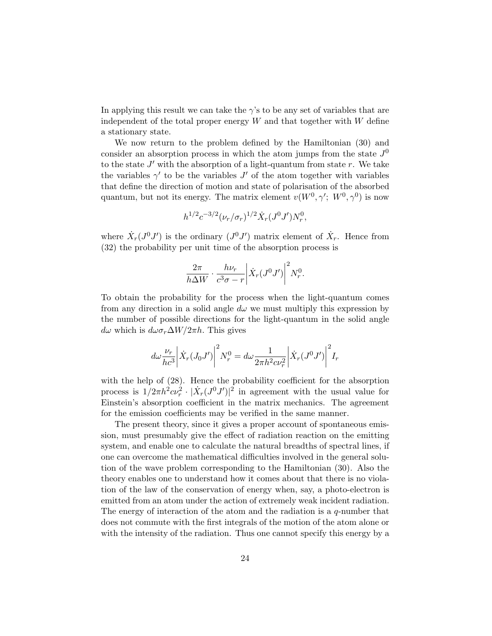In applying this result we can take the  $\gamma$ 's to be any set of variables that are independent of the total proper energy  $W$  and that together with  $W$  define a stationary state.

We now return to the problem defined by the Hamiltonian (30) and consider an absorption process in which the atom jumps from the state  $J^0$ to the state  $J'$  with the absorption of a light-quantum from state r. We take the variables  $\gamma'$  to be the variables  $J'$  of the atom together with variables that define the direction of motion and state of polarisation of the absorbed quantum, but not its energy. The matrix element  $v(W^0, \gamma'; W^0, \gamma^0)$  is now

$$
h^{1/2}c^{-3/2}(\nu_r/\sigma_r)^{1/2}\dot{X}_r(J^0J')N_r^0,
$$

where  $\dot{X}_r(J^0J')$  is the ordinary  $(J^0J')$  matrix element of  $\dot{X}_r$ . Hence from (32) the probability per unit time of the absorption process is

$$
\frac{2\pi}{h\Delta W} \cdot \frac{h\nu_r}{c^3 \sigma - r} \left| \dot{X}_r (J^0 J') \right|^2 N_r^0.
$$

To obtain the probability for the process when the light-quantum comes from any direction in a solid angle  $d\omega$  we must multiply this expression by the number of possible directions for the light-quantum in the solid angle  $dω$  which is  $dωσ<sub>r</sub>ΔW/2πh$ . This gives

$$
d\omega \frac{\nu_r}{hc^3} \left| \dot{X}_r(J_0 J') \right|^2 N_r^0 = d\omega \frac{1}{2\pi h^2 c \nu_r^2} \left| \dot{X}_r(J^0 J') \right|^2 I_r
$$

with the help of (28). Hence the probability coefficient for the absorption process is  $1/2\pi h^2 c \nu_r^2 \cdot |\dot{X}_r(J^0J')|^2$  in agreement with the usual value for Einstein's absorption coefficient in the matrix mechanics. The agreement for the emission coefficients may be verified in the same manner.

The present theory, since it gives a proper account of spontaneous emission, must presumably give the effect of radiation reaction on the emitting system, and enable one to calculate the natural breadths of spectral lines, if one can overcome the mathematical difficulties involved in the general solution of the wave problem corresponding to the Hamiltonian (30). Also the theory enables one to understand how it comes about that there is no violation of the law of the conservation of energy when, say, a photo-electron is emitted from an atom under the action of extremely weak incident radiation. The energy of interaction of the atom and the radiation is a  $q$ -number that does not commute with the first integrals of the motion of the atom alone or with the intensity of the radiation. Thus one cannot specify this energy by a